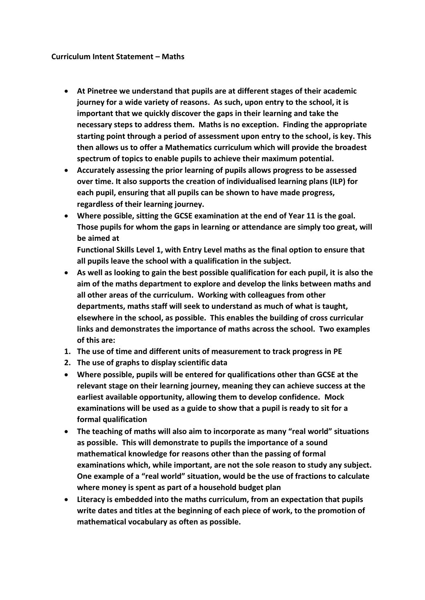## **Curriculum Intent Statement – Maths**

- **At Pinetree we understand that pupils are at different stages of their academic journey for a wide variety of reasons. As such, upon entry to the school, it is important that we quickly discover the gaps in their learning and take the necessary steps to address them. Maths is no exception. Finding the appropriate starting point through a period of assessment upon entry to the school, is key. This then allows us to offer a Mathematics curriculum which will provide the broadest spectrum of topics to enable pupils to achieve their maximum potential.**
- **Accurately assessing the prior learning of pupils allows progress to be assessed over time. It also supports the creation of individualised learning plans (ILP) for each pupil, ensuring that all pupils can be shown to have made progress, regardless of their learning journey.**
- **Where possible, sitting the GCSE examination at the end of Year 11 is the goal. Those pupils for whom the gaps in learning or attendance are simply too great, will be aimed at**

**Functional Skills Level 1, with Entry Level maths as the final option to ensure that all pupils leave the school with a qualification in the subject.**

- **As well as looking to gain the best possible qualification for each pupil, it is also the aim of the maths department to explore and develop the links between maths and all other areas of the curriculum. Working with colleagues from other departments, maths staff will seek to understand as much of what is taught, elsewhere in the school, as possible. This enables the building of cross curricular links and demonstrates the importance of maths across the school. Two examples of this are:**
- **1. The use of time and different units of measurement to track progress in PE**
- **2. The use of graphs to display scientific data**
- **Where possible, pupils will be entered for qualifications other than GCSE at the relevant stage on their learning journey, meaning they can achieve success at the earliest available opportunity, allowing them to develop confidence. Mock examinations will be used as a guide to show that a pupil is ready to sit for a formal qualification**
- **The teaching of maths will also aim to incorporate as many "real world" situations as possible. This will demonstrate to pupils the importance of a sound mathematical knowledge for reasons other than the passing of formal examinations which, while important, are not the sole reason to study any subject. One example of a "real world" situation, would be the use of fractions to calculate where money is spent as part of a household budget plan**
- **Literacy is embedded into the maths curriculum, from an expectation that pupils write dates and titles at the beginning of each piece of work, to the promotion of mathematical vocabulary as often as possible.**